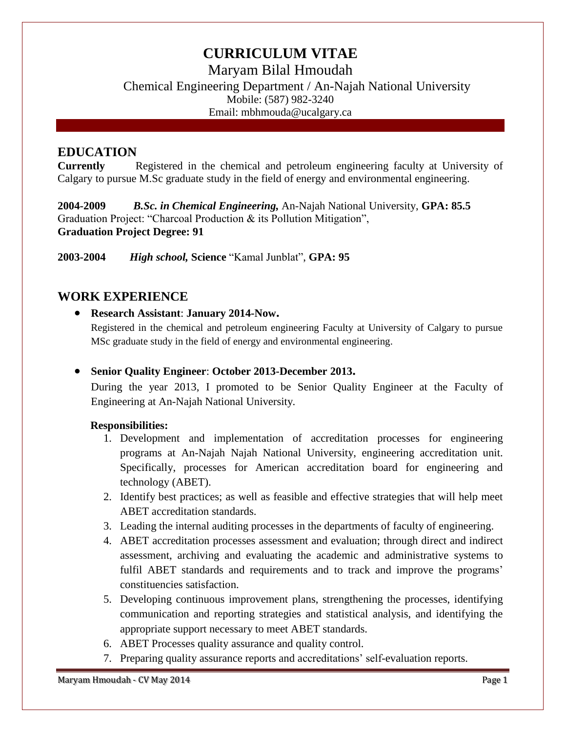# **CURRICULUM VITAE**

Maryam Bilal Hmoudah

Chemical Engineering Department / An-Najah National University Mobile: (587) 982-3240 Email: mbhmouda@ucalgary.ca

### **EDUCATION**

**Currently** Registered in the chemical and petroleum engineering faculty at University of Calgary to pursue M.Sc graduate study in the field of energy and environmental engineering.

**2004-2009** *B.Sc. in Chemical Engineering,* An-Najah National University, **GPA: 85.5** Graduation Project: "Charcoal Production & its Pollution Mitigation", **Graduation Project Degree: 91**

**2003-2004** *High school,* **Science** "Kamal Junblat", **GPA: 95**

# **WORK EXPERIENCE**

**Research Assistant**: **January 2014-Now.**

Registered in the chemical and petroleum engineering Faculty at University of Calgary to pursue MSc graduate study in the field of energy and environmental engineering.

### **Senior Quality Engineer**: **October 2013-December 2013.**

During the year 2013, I promoted to be Senior Quality Engineer at the Faculty of Engineering at An-Najah National University.

#### **Responsibilities:**

- 1. Development and implementation of accreditation processes for engineering programs at An-Najah Najah National University, engineering accreditation unit. Specifically, processes for American accreditation board for engineering and technology (ABET).
- 2. Identify best practices; as well as feasible and effective strategies that will help meet ABET accreditation standards.
- 3. Leading the internal auditing processes in the departments of faculty of engineering.
- 4. ABET accreditation processes assessment and evaluation; through direct and indirect assessment, archiving and evaluating the academic and administrative systems to fulfil ABET standards and requirements and to track and improve the programs' constituencies satisfaction.
- 5. Developing continuous improvement plans, strengthening the processes, identifying communication and reporting strategies and statistical analysis, and identifying the appropriate support necessary to meet ABET standards.
- 6. ABET Processes quality assurance and quality control.
- 7. Preparing quality assurance reports and accreditations' self-evaluation reports.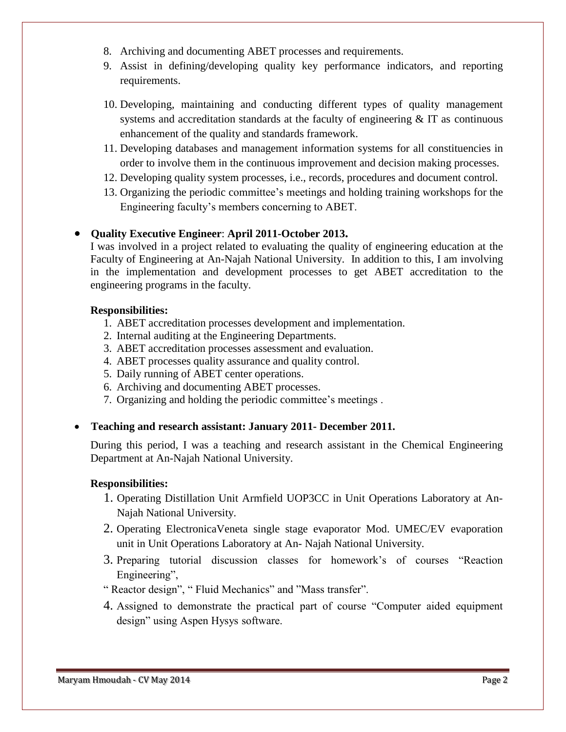- 8. Archiving and documenting ABET processes and requirements.
- 9. Assist in defining/developing quality key performance indicators, and reporting requirements.
- 10. Developing, maintaining and conducting different types of quality management systems and accreditation standards at the faculty of engineering & IT as continuous enhancement of the quality and standards framework.
- 11. Developing databases and management information systems for all constituencies in order to involve them in the continuous improvement and decision making processes.
- 12. Developing quality system processes, i.e., records, procedures and document control.
- 13. Organizing the periodic committee's meetings and holding training workshops for the Engineering faculty's members concerning to ABET.

#### **Quality Executive Engineer**: **April 2011-October 2013.**

I was involved in a project related to evaluating the quality of engineering education at the Faculty of Engineering at An-Najah National University. In addition to this, I am involving in the implementation and development processes to get ABET accreditation to the engineering programs in the faculty.

#### **Responsibilities:**

- 1. ABET accreditation processes development and implementation.
- 2. Internal auditing at the Engineering Departments.
- 3. ABET accreditation processes assessment and evaluation.
- 4. ABET processes quality assurance and quality control.
- 5. Daily running of ABET center operations.
- 6. Archiving and documenting ABET processes.
- 7. Organizing and holding the periodic committee's meetings .

#### **Teaching and research assistant: January 2011- December 2011.**

During this period, I was a teaching and research assistant in the Chemical Engineering Department at An-Najah National University.

#### **Responsibilities:**

- 1. Operating Distillation Unit Armfield UOP3CC in Unit Operations Laboratory at An-Najah National University.
- 2. Operating ElectronicaVeneta single stage evaporator Mod. UMEC/EV evaporation unit in Unit Operations Laboratory at An- Najah National University.
- 3. Preparing tutorial discussion classes for homework's of courses "Reaction Engineering",
- " Reactor design", " Fluid Mechanics" and "Mass transfer".
- 4. Assigned to demonstrate the practical part of course "Computer aided equipment design" using Aspen Hysys software.